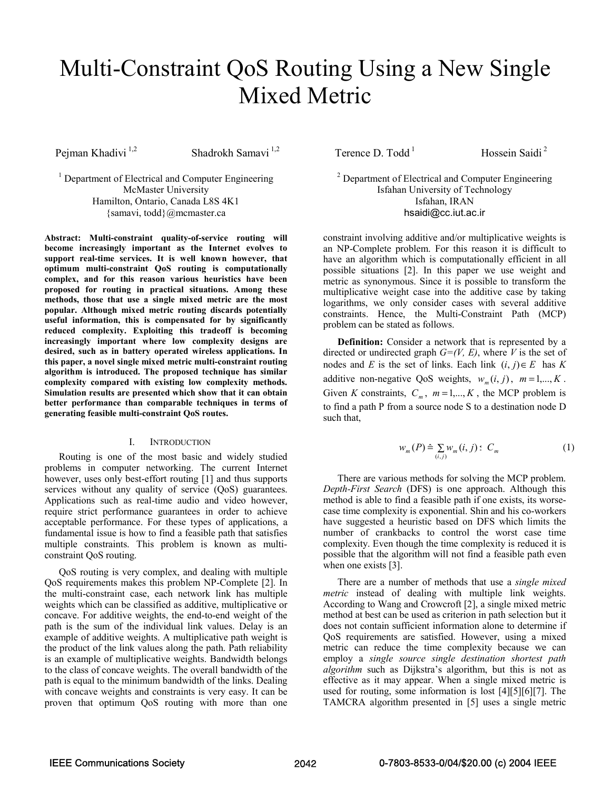# Multi-Constraint QoS Routing Using a New Single Mixed Metric

Pejman Khadivi <sup>1,2</sup> Shadrokh Samavi <sup>1,2</sup> Terence D. Todd <sup>1</sup> Hossein Saidi <sup>2</sup>

<sup>1</sup> Department of Electrical and Computer Engineering McMaster University Hamilton, Ontario, Canada L8S 4K1 {samavi, todd}@mcmaster.ca

**Abstract: Multi-constraint quality-of-service routing will become increasingly important as the Internet evolves to support real-time services. It is well known however, that optimum multi-constraint QoS routing is computationally complex, and for this reason various heuristics have been proposed for routing in practical situations. Among these methods, those that use a single mixed metric are the most popular. Although mixed metric routing discards potentially useful information, this is compensated for by significantly reduced complexity. Exploiting this tradeoff is becoming increasingly important where low complexity designs are desired, such as in battery operated wireless applications. In this paper, a novel single mixed metric multi-constraint routing algorithm is introduced. The proposed technique has similar complexity compared with existing low complexity methods. Simulation results are presented which show that it can obtain better performance than comparable techniques in terms of generating feasible multi-constraint QoS routes.** 

### I. INTRODUCTION

Routing is one of the most basic and widely studied problems in computer networking. The current Internet however, uses only best-effort routing [1] and thus supports services without any quality of service (OoS) guarantees. Applications such as real-time audio and video however, require strict performance guarantees in order to achieve acceptable performance. For these types of applications, a fundamental issue is how to find a feasible path that satisfies multiple constraints. This problem is known as multiconstraint QoS routing.

QoS routing is very complex, and dealing with multiple QoS requirements makes this problem NP-Complete [2]. In the multi-constraint case, each network link has multiple weights which can be classified as additive, multiplicative or concave. For additive weights, the end-to-end weight of the path is the sum of the individual link values. Delay is an example of additive weights. A multiplicative path weight is the product of the link values along the path. Path reliability is an example of multiplicative weights. Bandwidth belongs to the class of concave weights. The overall bandwidth of the path is equal to the minimum bandwidth of the links. Dealing with concave weights and constraints is very easy. It can be proven that optimum QoS routing with more than one

 $2$  Department of Electrical and Computer Engineering Isfahan University of Technology Isfahan, IRAN hsaidi@cc.iut.ac.ir

constraint involving additive and/or multiplicative weights is an NP-Complete problem. For this reason it is difficult to have an algorithm which is computationally efficient in all possible situations [2]. In this paper we use weight and metric as synonymous. Since it is possible to transform the multiplicative weight case into the additive case by taking logarithms, we only consider cases with several additive constraints. Hence, the Multi-Constraint Path (MCP) problem can be stated as follows.

**Definition:** Consider a network that is represented by a directed or undirected graph *G=(V, E)*, where *V* is the set of nodes and *E* is the set of links. Each link  $(i, j) \in E$  has *K* additive non-negative QoS weights,  $w_m(i, j)$ ,  $m = 1, ..., K$ . Given *K* constraints,  $C_m$ ,  $m=1,...,K$ , the MCP problem is to find a path P from a source node S to a destination node D such that,

$$
w_m(P) \triangleq \sum_{(i,j)} w_m(i,j) \colon C_m \tag{1}
$$

There are various methods for solving the MCP problem. *Depth-First Search* (DFS) is one approach. Although this method is able to find a feasible path if one exists, its worsecase time complexity is exponential. Shin and his co-workers have suggested a heuristic based on DFS which limits the number of crankbacks to control the worst case time complexity. Even though the time complexity is reduced it is possible that the algorithm will not find a feasible path even when one exists [3].

There are a number of methods that use a *single mixed metric* instead of dealing with multiple link weights. According to Wang and Crowcroft [2], a single mixed metric method at best can be used as criterion in path selection but it does not contain sufficient information alone to determine if QoS requirements are satisfied. However, using a mixed metric can reduce the time complexity because we can employ a *single source single destination shortest path algorithm* such as Dijkstra's algorithm, but this is not as effective as it may appear. When a single mixed metric is used for routing, some information is lost [4][5][6][7]. The TAMCRA algorithm presented in [5] uses a single metric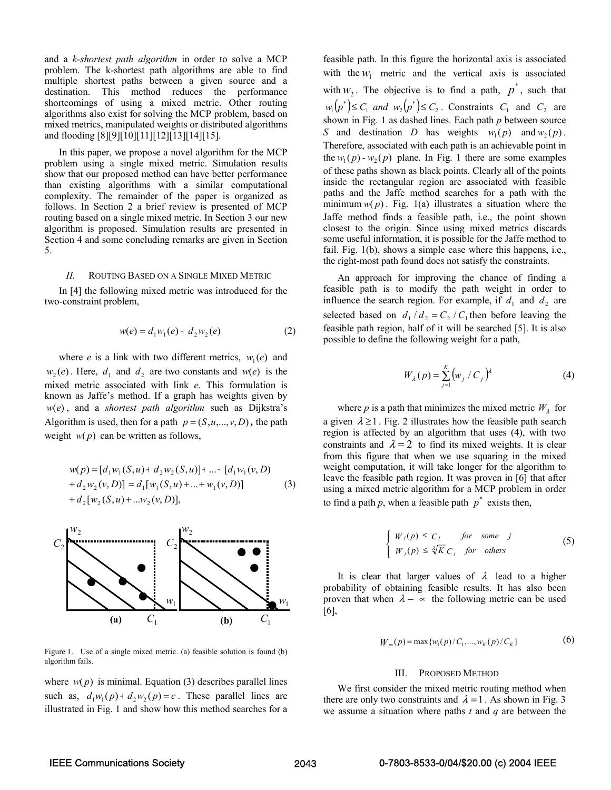and a *k-shortest path algorithm* in order to solve a MCP problem. The k-shortest path algorithms are able to find multiple shortest paths between a given source and a destination. This method reduces the performance shortcomings of using a mixed metric. Other routing algorithms also exist for solving the MCP problem, based on mixed metrics, manipulated weights or distributed algorithms and flooding [8][9][10][11][12][13][14][15].

In this paper, we propose a novel algorithm for the MCP problem using a single mixed metric. Simulation results show that our proposed method can have better performance than existing algorithms with a similar computational complexity. The remainder of the paper is organized as follows. In Section 2 a brief review is presented of MCP routing based on a single mixed metric. In Section 3 our new algorithm is proposed. Simulation results are presented in Section 4 and some concluding remarks are given in Section 5.

#### *II.* ROUTING BASED ON A SINGLE MIXED METRIC

In [4] the following mixed metric was introduced for the two-constraint problem,

$$
w(e) = d_1 w_1(e) + d_2 w_2(e)
$$
 (2)

where *e* is a link with two different metrics,  $w_i(e)$  and  $w_2(e)$ . Here,  $d_1$  and  $d_2$  are two constants and  $w(e)$  is the mixed metric associated with link *e*. This formulation is known as Jaffe's method. If a graph has weights given by *w*(*e*) , and a *shortest path algorithm* such as Dijkstra's Algorithm is used, then for a path  $p = (S, u, \ldots, v, D)$ , the path weight  $w(p)$  can be written as follows,

$$
w(p) = [d_1 w_1(S, u) + d_2 w_2(S, u)] + ... + [d_1 w_1(v, D) + d_2 w_2(v, D)] = d_1[w_1(S, u) + ... + w_1(v, D)]
$$
\n
$$
+ d_2[w_2(S, u) + ... w_2(v, D)],
$$
\n(3)



Figure 1. Use of a single mixed metric. (a) feasible solution is found (b) algorithm fails.

where  $w(p)$  is minimal. Equation (3) describes parallel lines such as,  $d_1w_1(p) + d_2w_2(p) = c$ . These parallel lines are illustrated in Fig. 1 and show how this method searches for a

feasible path. In this figure the horizontal axis is associated with the  $w_1$  metric and the vertical axis is associated with  $W_2$ . The objective is to find a path,  $p^*$ , such that  $w_1(p^*) \leq C_1$  and  $w_2(p^*) \leq C_2$ . Constraints  $C_1$  and  $C_2$  are shown in Fig. 1 as dashed lines. Each path *p* between source *S* and destination *D* has weights  $w_1(p)$  and  $w_2(p)$ . Therefore, associated with each path is an achievable point in the  $w_1(p) - w_2(p)$  plane. In Fig. 1 there are some examples of these paths shown as black points. Clearly all of the points inside the rectangular region are associated with feasible paths and the Jaffe method searches for a path with the minimum  $w(p)$ . Fig. 1(a) illustrates a situation where the Jaffe method finds a feasible path, i.e., the point shown closest to the origin. Since using mixed metrics discards some useful information, it is possible for the Jaffe method to fail. Fig. 1(b), shows a simple case where this happens, i.e., the right-most path found does not satisfy the constraints.

An approach for improving the chance of finding a feasible path is to modify the path weight in order to influence the search region. For example, if  $d_1$  and  $d_2$  are selected based on  $d_1 / d_2 = C_2 / C_1$  then before leaving the feasible path region, half of it will be searched [5]. It is also possible to define the following weight for a path,

$$
W_{\lambda}(p) = \sum_{j=1}^{K} (w_j / C_j)^{\lambda}
$$
 (4)

where *p* is a path that minimizes the mixed metric  $W_{\lambda}$  for a given  $\lambda \ge 1$ . Fig. 2 illustrates how the feasible path search region is affected by an algorithm that uses (4), with two constraints and  $\lambda = 2$  to find its mixed weights. It is clear from this figure that when we use squaring in the mixed weight computation, it will take longer for the algorithm to leave the feasible path region. It was proven in [6] that after using a mixed metric algorithm for a MCP problem in order to find a path  $p$ , when a feasible path  $p^*$  exists then,

$$
\begin{cases} W_j(p) \le C_j & \text{for some } j \\ W_j(p) \le \sqrt[3]{K} C_j & \text{for others} \end{cases}
$$
 (5)

It is clear that larger values of  $\lambda$  lead to a higher probability of obtaining feasible results. It has also been proven that when  $\lambda - \infty$  the following metric can be used [6],

$$
W_{\infty}(p) = \max \{ w_1(p) / C_1, ..., w_K(p) / C_K \}
$$
 (6)

#### III. PROPOSED METHOD

We first consider the mixed metric routing method when there are only two constraints and  $\lambda = 1$ . As shown in Fig. 3 we assume a situation where paths *t* and *q* are between the

# IEEE Communications Society 2043 0-7803-8533-0/04/\$20.00 (c) 2004 IEEE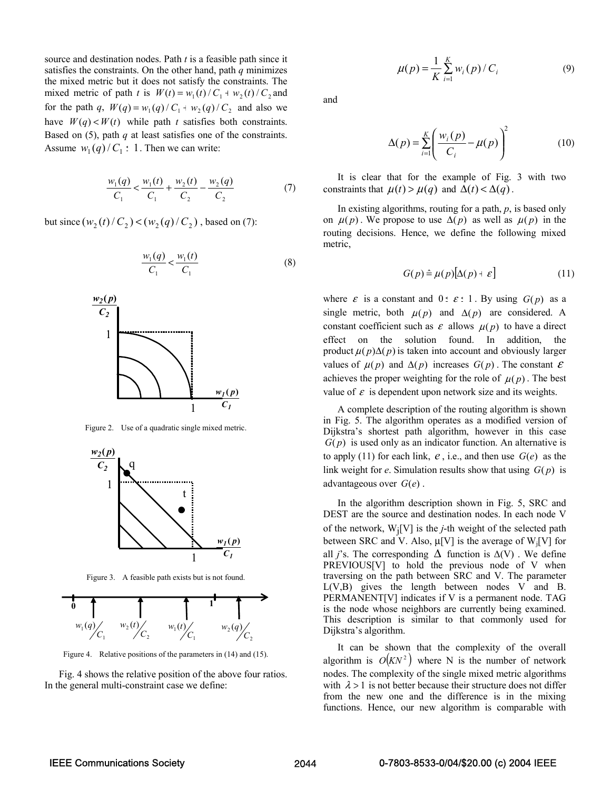source and destination nodes. Path *t* is a feasible path since it satisfies the constraints. On the other hand, path *q* minimizes the mixed metric but it does not satisfy the constraints. The mixed metric of path *t* is  $W(t) = w_1(t) / C_1 + w_2(t) / C_2$  and for the path *q*,  $W(q) = w_1(q)/C_1 + w_2(q)/C_2$  and also we have  $W(q) < W(t)$  while path *t* satisfies both constraints. Based on (5), path *q* at least satisfies one of the constraints. Assume  $w_1(q) / C_1 \leq 1$ . Then we can write:

$$
\frac{w_1(q)}{C_1} < \frac{w_1(t)}{C_1} + \frac{w_2(t)}{C_2} - \frac{w_2(q)}{C_2} \tag{7}
$$

but since  $(w_2(t) / C_2) < (w_2(q) / C_2)$ , based on (7):

$$
\frac{w_1(q)}{C_1} < \frac{w_1(t)}{C_1} \tag{8}
$$



Figure 2. Use of a quadratic single mixed metric.



Figure 3. A feasible path exists but is not found.



Figure 4. Relative positions of the parameters in (14) and (15).

Fig. 4 shows the relative position of the above four ratios. In the general multi-constraint case we define:

$$
\mu(p) = \frac{1}{K} \sum_{i=1}^{K} w_i(p) / C_i
$$
 (9)

and

$$
\Delta(p) = \sum_{i=1}^{K} \left( \frac{w_i(p)}{C_i} - \mu(p) \right)^2 \tag{10}
$$

It is clear that for the example of Fig. 3 with two constraints that  $\mu(t) > \mu(q)$  and  $\Delta(t) < \Delta(q)$ .

In existing algorithms, routing for a path, *p*, is based only on  $\mu(p)$ . We propose to use  $\Delta(p)$  as well as  $\mu(p)$  in the routing decisions. Hence, we define the following mixed metric,

$$
G(p) \hat{=} \mu(p) [\Delta(p) + \varepsilon] \tag{11}
$$

where  $\varepsilon$  is a constant and  $0 \leq \varepsilon \leq 1$ . By using  $G(p)$  as a single metric, both  $\mu(p)$  and  $\Delta(p)$  are considered. A constant coefficient such as  $\varepsilon$  allows  $\mu(p)$  to have a direct effect on the solution found. In addition, the product  $\mu(p)\Delta(p)$  is taken into account and obviously larger values of  $\mu(p)$  and  $\Delta(p)$  increases  $G(p)$ . The constant  $\mathcal E$ achieves the proper weighting for the role of  $\mu(p)$ . The best value of  $\varepsilon$  is dependent upon network size and its weights.

A complete description of the routing algorithm is shown in Fig. 5. The algorithm operates as a modified version of Dijkstra's shortest path algorithm, however in this case  $G(p)$  is used only as an indicator function. An alternative is to apply (11) for each link,  $e$ , i.e., and then use  $G(e)$  as the link weight for *e*. Simulation results show that using  $G(p)$  is advantageous over *G*(*e*) .

In the algorithm description shown in Fig. 5, SRC and DEST are the source and destination nodes. In each node V of the network, Wj[V] is the *j*-th weight of the selected path between SRC and V. Also,  $\mu[V]$  is the average of W<sub>i</sub>[V] for all *j*'s. The corresponding  $\Delta$  function is  $\Delta$ (V). We define PREVIOUS[V] to hold the previous node of V when traversing on the path between SRC and V. The parameter L(V,B) gives the length between nodes V and B. PERMANENT[V] indicates if V is a permanent node. TAG is the node whose neighbors are currently being examined. This description is similar to that commonly used for Dijkstra's algorithm.

It can be shown that the complexity of the overall algorithm is  $O(KN^2)$  where N is the number of network nodes. The complexity of the single mixed metric algorithms with  $\lambda > 1$  is not better because their structure does not differ from the new one and the difference is in the mixing functions. Hence, our new algorithm is comparable with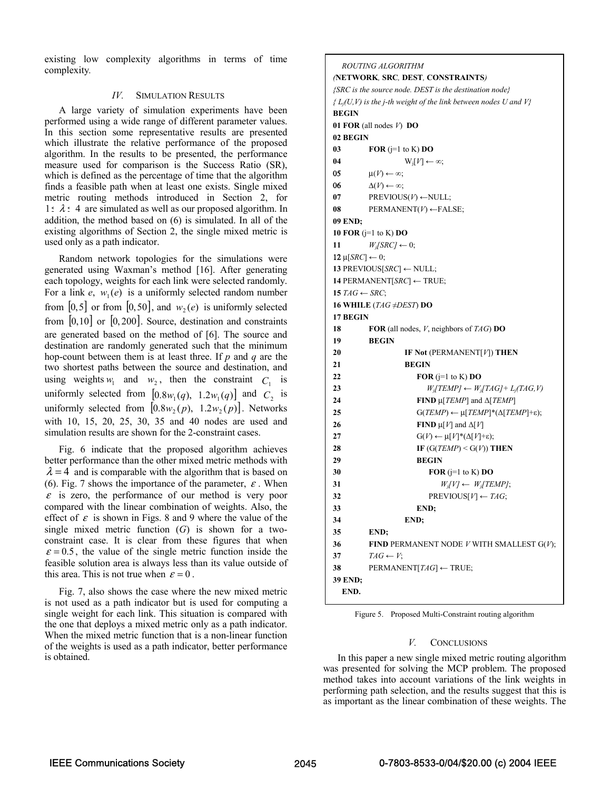existing low complexity algorithms in terms of time complexity*.* 

## *IV.* SIMULATION RESULTS

A large variety of simulation experiments have been performed using a wide range of different parameter values. In this section some representative results are presented which illustrate the relative performance of the proposed algorithm. In the results to be presented, the performance measure used for comparison is the Success Ratio (SR), which is defined as the percentage of time that the algorithm finds a feasible path when at least one exists. Single mixed metric routing methods introduced in Section 2, for 1:  $\lambda$ : 4 are simulated as well as our proposed algorithm. In addition, the method based on (6) is simulated. In all of the existing algorithms of Section 2, the single mixed metric is used only as a path indicator.

Random network topologies for the simulations were generated using Waxman's method [16]. After generating each topology, weights for each link were selected randomly. For a link  $e$ ,  $w_1(e)$  is a uniformly selected random number from  $[0,5]$  or from  $[0,50]$ , and  $w_2(e)$  is uniformly selected from  $\vert 0,10 \vert$  or  $\vert 0,200 \vert$ . Source, destination and constraints are generated based on the method of [6]. The source and destination are randomly generated such that the minimum hop-count between them is at least three. If *p* and *q* are the two shortest paths between the source and destination, and using weights  $w_1$  and  $w_2$ , then the constraint  $C_1$  is uniformly selected from  $[0.8 w_1(q), 1.2 w_1(q)]$  and  $C_2$  is uniformly selected from  $[0.8 w_2(p), 1.2 w_2(p)]$ . Networks with 10, 15, 20, 25, 30, 35 and 40 nodes are used and simulation results are shown for the 2-constraint cases.

Fig. 6 indicate that the proposed algorithm achieves better performance than the other mixed metric methods with  $\lambda = 4$  and is comparable with the algorithm that is based on (6). Fig. 7 shows the importance of the parameter,  $\varepsilon$ . When  $\epsilon$  is zero, the performance of our method is very poor compared with the linear combination of weights. Also, the effect of  $\varepsilon$  is shown in Figs. 8 and 9 where the value of the single mixed metric function (*G*) is shown for a twoconstraint case. It is clear from these figures that when  $\varepsilon = 0.5$ , the value of the single metric function inside the feasible solution area is always less than its value outside of this area. This is not true when  $\varepsilon = 0$ .

Fig. 7, also shows the case where the new mixed metric is not used as a path indicator but is used for computing a single weight for each link. This situation is compared with the one that deploys a mixed metric only as a path indicator. When the mixed metric function that is a non-linear function of the weights is used as a path indicator, better performance is obtained.

# *ROUTING ALGORITHM*

```
(NETWORK, SRC, DEST, CONSTRAINTS) 
{SRC is the source node. DEST is the destination node} 
{ Lj(U,V) is the j-th weight of the link between nodes U and V} 
BEGIN 
01 FOR (all nodes V) DO 
02 BEGIN 
03 FOR (j=1 to K) DO 
04 Wi[V] \leftarrow \infty;
05 \mu(V) \leftarrow \infty;
06 \Delta(V) \leftarrow \infty;
07 PREVIOUS(V) ← NULL;
08 PERMANENT(V) ←FALSE; 
09 END; 
10 FOR (j=1 to K) DO
11 W_i/SRC<sup>i \leftarrow 0;</sup>
12 \mu[SRC] \leftarrow 0;13 PREVIOUS[SRC] ← NULL; 
14 PERMANENT[SRC] ← TRUE; 
15 TAG ← SRC;
16 WHILE (TAG ≠DEST) DO
17 BEGIN
18 FOR (all nodes, V, neighbors of TAG) DO 
19 BEGIN 
20 IF Not (PERMANENT[V]) THEN 
21 BEGIN
22 FOR (j=1 to K) DO
23 W_i[TEMP] \leftarrow W_i[TAG] + L_i(TAG,V)24 FIND µ[TEMP] and ∆[TEMP]
25 G(TEMP) ← \mu[TEMP]^*(\Delta[TEMP]+_{\epsilon});26 FIND µ[V] and \Delta[V]27 G(V) ← \mu[V]^*(\Delta[V]+ \varepsilon);28 IF (G(TEMP) < G(V)) THEN
29 BEGIN
30 FOR (j=1 to K) DO
31 W_i[V] \leftarrow W_i[TEMP];32 PREVIOUS[V] ← TAG;
33 END;
34 END;
35 END;
36 FIND PERMANENT NODE V WITH SMALLEST G(V);
37 TAG \leftarrow V;
38 PERMANENT[TAG] \leftarrow \text{TRUE};39 END;
  END.
```
Figure 5. Proposed Multi-Constraint routing algorithm

# *V.* CONCLUSIONS

In this paper a new single mixed metric routing algorithm was presented for solving the MCP problem. The proposed method takes into account variations of the link weights in performing path selection, and the results suggest that this is as important as the linear combination of these weights. The